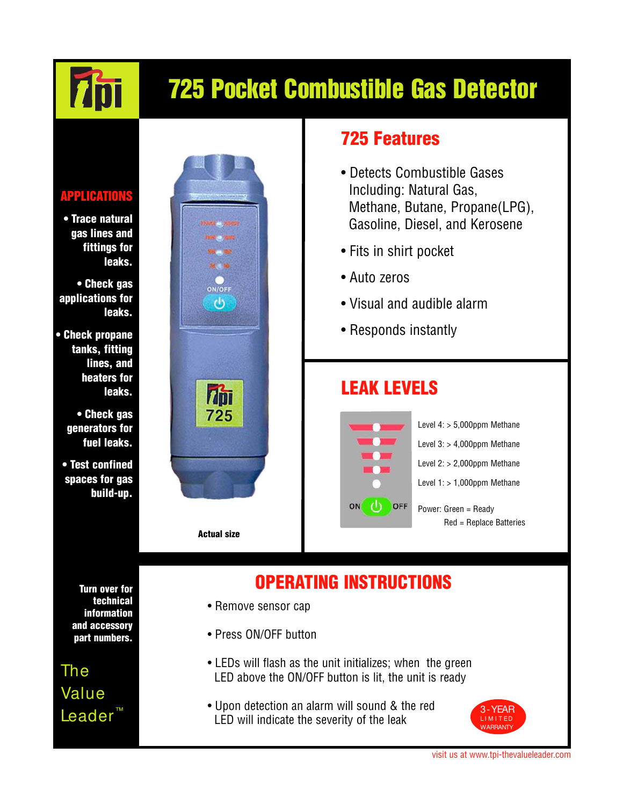# 725 Pocket Combustible Gas Detector

#### APPLICATIONS

**7bi** 

• Trace natural gas lines and fittings for leaks.

• Check gas applications for leaks.

• Check propane tanks, fitting lines, and heaters for leaks.

> • Check gas generators for fuel leaks.

• Test confined spaces for gas build-up.



### 725 Features

- Detects Combustible Gases Including: Natural Gas, Methane, Butane, Propane(LPG), Gasoline, Diesel, and Kerosene
- Fits in shirt pocket
- Auto zeros
- Visual and audible alarm
- Responds instantly

### LEAK LEVELS



Level 4: > 5,000ppm Methane Level  $3:$  > 4,000ppm Methane Level  $2:$  > 2,000ppm Methane Level  $1:$  > 1,000ppm Methane

Power: Green = Ready Red = Replace Batteries

## OPERATING INSTRUCTIONS

- Remove sensor cap
- Press ON/OFF button
- LEDs will flash as the unit initializes; when the green LED above the ON/OFF button is lit, the unit is ready
- Upon detection an alarm will sound & the red LED will indicate the severity of the leak



visit us at www.tpi-thevalueleader.com

Turn over for technical information and accessory part numbers.

The Value Leader<sup>™</sup>